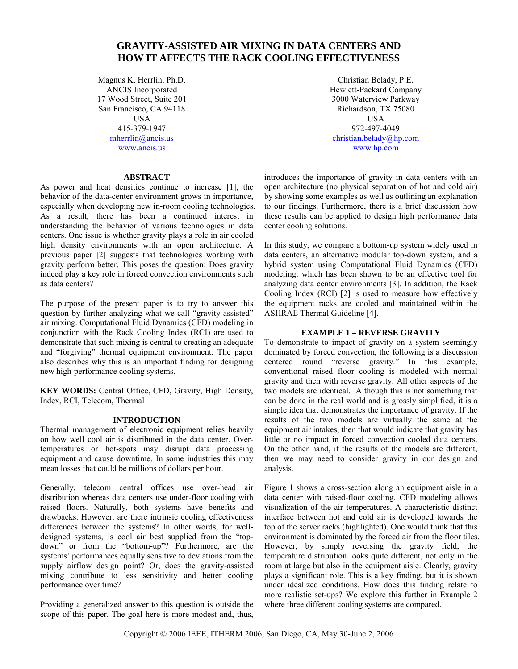# **GRAVITY-ASSISTED AIR MIXING IN DATA CENTERS AND HOW IT AFFECTS THE RACK COOLING EFFECTIVENESS**

Magnus K. Herrlin, Ph.D. ANCIS Incorporated 17 Wood Street, Suite 201 San Francisco, CA 94118 **USA** 415-379-1947 mherrlin@ancis.us www.ancis.us

# **ABSTRACT**

As power and heat densities continue to increase [1], the behavior of the data-center environment grows in importance, especially when developing new in-room cooling technologies. As a result, there has been a continued interest in understanding the behavior of various technologies in data centers. One issue is whether gravity plays a role in air cooled high density environments with an open architecture. A previous paper [2] suggests that technologies working with gravity perform better. This poses the question: Does gravity indeed play a key role in forced convection environments such as data centers?

The purpose of the present paper is to try to answer this question by further analyzing what we call "gravity-assisted" air mixing. Computational Fluid Dynamics (CFD) modeling in conjunction with the Rack Cooling Index (RCI) are used to demonstrate that such mixing is central to creating an adequate and "forgiving" thermal equipment environment. The paper also describes why this is an important finding for designing new high-performance cooling systems.

**KEY WORDS:** Central Office, CFD, Gravity, High Density, Index, RCI, Telecom, Thermal

## **INTRODUCTION**

Thermal management of electronic equipment relies heavily on how well cool air is distributed in the data center. Overtemperatures or hot-spots may disrupt data processing equipment and cause downtime. In some industries this may mean losses that could be millions of dollars per hour.

Generally, telecom central offices use over-head air distribution whereas data centers use under-floor cooling with raised floors. Naturally, both systems have benefits and drawbacks. However, are there intrinsic cooling effectiveness differences between the systems? In other words, for welldesigned systems, is cool air best supplied from the "topdown" or from the "bottom-up"? Furthermore, are the systems' performances equally sensitive to deviations from the supply airflow design point? Or, does the gravity-assisted mixing contribute to less sensitivity and better cooling performance over time?

Providing a generalized answer to this question is outside the scope of this paper. The goal here is more modest and, thus,

Christian Belady, P.E. Hewlett-Packard Company 3000 Waterview Parkway Richardson, TX 75080 **USA** 972-497-4049 christian.belady@hp.com www.hp.com

introduces the importance of gravity in data centers with an open architecture (no physical separation of hot and cold air) by showing some examples as well as outlining an explanation to our findings. Furthermore, there is a brief discussion how these results can be applied to design high performance data center cooling solutions.

In this study, we compare a bottom-up system widely used in data centers, an alternative modular top-down system, and a hybrid system using Computational Fluid Dynamics (CFD) modeling, which has been shown to be an effective tool for analyzing data center environments [3]. In addition, the Rack Cooling Index (RCI) [2] is used to measure how effectively the equipment racks are cooled and maintained within the ASHRAE Thermal Guideline [4].

#### **EXAMPLE 1 – REVERSE GRAVITY**

To demonstrate to impact of gravity on a system seemingly dominated by forced convection, the following is a discussion centered round "reverse gravity." In this example, conventional raised floor cooling is modeled with normal gravity and then with reverse gravity. All other aspects of the two models are identical. Although this is not something that can be done in the real world and is grossly simplified, it is a simple idea that demonstrates the importance of gravity. If the results of the two models are virtually the same at the equipment air intakes, then that would indicate that gravity has little or no impact in forced convection cooled data centers. On the other hand, if the results of the models are different, then we may need to consider gravity in our design and analysis.

Figure 1 shows a cross-section along an equipment aisle in a data center with raised-floor cooling. CFD modeling allows visualization of the air temperatures. A characteristic distinct interface between hot and cold air is developed towards the top of the server racks (highlighted). One would think that this environment is dominated by the forced air from the floor tiles. However, by simply reversing the gravity field, the temperature distribution looks quite different, not only in the room at large but also in the equipment aisle. Clearly, gravity plays a significant role. This is a key finding, but it is shown under idealized conditions. How does this finding relate to more realistic set-ups? We explore this further in Example 2 where three different cooling systems are compared.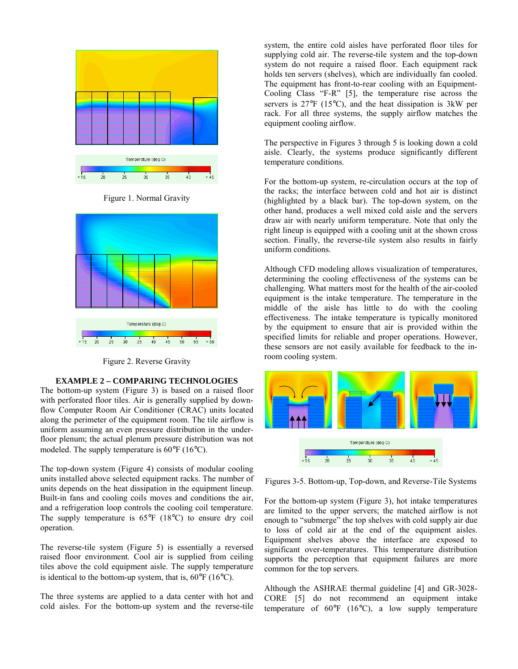

Figure 1. Normal Gravity



Figure 2. Reverse Gravity

# **EXAMPLE 2 – COMPARING TECHNOLOGIES**

The bottom-up system (Figure 3) is based on a raised floor with perforated floor tiles. Air is generally supplied by downflow Computer Room Air Conditioner (CRAC) units located along the perimeter of the equipment room. The tile airflow is uniform assuming an even pressure distribution in the underfloor plenum; the actual plenum pressure distribution was not modeled. The supply temperature is 60°F (16°C).

The top-down system (Figure 4) consists of modular cooling units installed above selected equipment racks. The number of units depends on the heat dissipation in the equipment lineup. Built-in fans and cooling coils moves and conditions the air, and a refrigeration loop controls the cooling coil temperature. The supply temperature is  $65^{\circ}F$  (18 $^{\circ}C$ ) to ensure dry coil operation.

The reverse-tile system (Figure 5) is essentially a reversed raised floor environment. Cool air is supplied from ceiling tiles above the cold equipment aisle. The supply temperature is identical to the bottom-up system, that is,  $60^{\circ}$ F (16 $^{\circ}$ C).

The three systems are applied to a data center with hot and cold aisles. For the bottom-up system and the reverse-tile system, the entire cold aisles have perforated floor tiles for supplying cold air. The reverse-tile system and the top-down system do not require a raised floor. Each equipment rack holds ten servers (shelves), which are individually fan cooled. The equipment has front-to-rear cooling with an Equipment-Cooling Class "F-R" [5], the temperature rise across the servers is 27°F (15°C), and the heat dissipation is 3kW per rack. For all three systems, the supply airflow matches the equipment cooling airflow.

The perspective in Figures 3 through 5 is looking down a cold aisle. Clearly, the systems produce significantly different temperature conditions.

For the bottom-up system, re-circulation occurs at the top of the racks; the interface between cold and hot air is distinct (highlighted by a black bar). The top-down system, on the other hand, produces a well mixed cold aisle and the servers draw air with nearly uniform temperature. Note that only the right lineup is equipped with a cooling unit at the shown cross section. Finally, the reverse-tile system also results in fairly uniform conditions.

Although CFD modeling allows visualization of temperatures, determining the cooling effectiveness of the systems can be challenging. What matters most for the health of the air-cooled equipment is the intake temperature. The temperature in the middle of the aisle has little to do with the cooling effectiveness. The intake temperature is typically monitored by the equipment to ensure that air is provided within the specified limits for reliable and proper operations. However, these sensors are not easily available for feedback to the inroom cooling system.



Figures 3-5. Bottom-up, Top-down, and Reverse-Tile Systems

For the bottom-up system (Figure 3), hot intake temperatures are limited to the upper servers; the matched airflow is not enough to "submerge" the top shelves with cold supply air due to loss of cold air at the end of the equipment aisles. Equipment shelves above the interface are exposed to significant over-temperatures. This temperature distribution supports the perception that equipment failures are more common for the top servers.

Although the ASHRAE thermal guideline [4] and GR-3028- CORE [5] do not recommend an equipment intake temperature of 60°F (16°C), a low supply temperature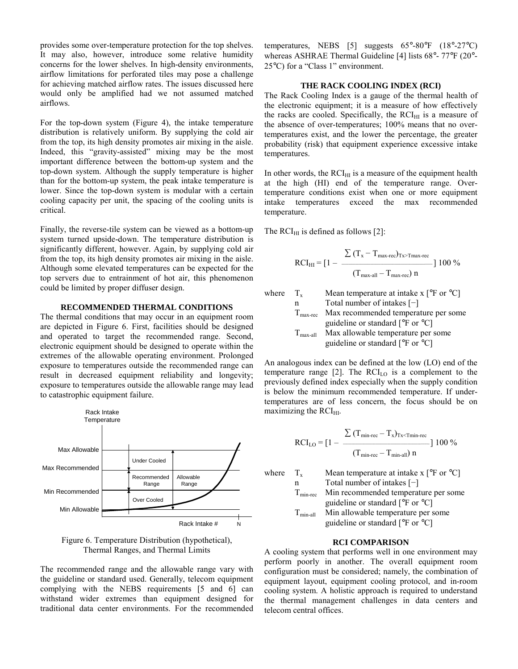provides some over-temperature protection for the top shelves. It may also, however, introduce some relative humidity concerns for the lower shelves. In high-density environments, airflow limitations for perforated tiles may pose a challenge for achieving matched airflow rates. The issues discussed here would only be amplified had we not assumed matched airflows.

For the top-down system (Figure 4), the intake temperature distribution is relatively uniform. By supplying the cold air from the top, its high density promotes air mixing in the aisle. Indeed, this "gravity-assisted" mixing may be the most important difference between the bottom-up system and the top-down system. Although the supply temperature is higher than for the bottom-up system, the peak intake temperature is lower. Since the top-down system is modular with a certain cooling capacity per unit, the spacing of the cooling units is critical.

Finally, the reverse-tile system can be viewed as a bottom-up system turned upside-down. The temperature distribution is significantly different, however. Again, by supplying cold air from the top, its high density promotes air mixing in the aisle. Although some elevated temperatures can be expected for the top servers due to entrainment of hot air, this phenomenon could be limited by proper diffuser design.

#### **RECOMMENDED THERMAL CONDITIONS**

The thermal conditions that may occur in an equipment room are depicted in Figure 6. First, facilities should be designed and operated to target the recommended range. Second, electronic equipment should be designed to operate within the extremes of the allowable operating environment. Prolonged exposure to temperatures outside the recommended range can result in decreased equipment reliability and longevity; exposure to temperatures outside the allowable range may lead to catastrophic equipment failure.



Figure 6. Temperature Distribution (hypothetical), Thermal Ranges, and Thermal Limits

The recommended range and the allowable range vary with the guideline or standard used. Generally, telecom equipment complying with the NEBS requirements [5 and 6] can withstand wider extremes than equipment designed for traditional data center environments. For the recommended temperatures, NEBS [5] suggests  $65^{\circ}$ -80°F  $(18^{\circ}$ -27°C) whereas ASHRAE Thermal Guideline [4] lists 68°- 77°F (20°- 25°C) for a "Class 1" environment.

## **THE RACK COOLING INDEX (RCI)**

The Rack Cooling Index is a gauge of the thermal health of the electronic equipment; it is a measure of how effectively the racks are cooled. Specifically, the  $RCI<sub>HI</sub>$  is a measure of the absence of over-temperatures; 100% means that no overtemperatures exist, and the lower the percentage, the greater probability (risk) that equipment experience excessive intake temperatures.

In other words, the  $RCI_{HI}$  is a measure of the equipment health at the high (HI) end of the temperature range. Overtemperature conditions exist when one or more equipment intake temperatures exceed the max recommended temperature.

The  $\text{RCI}_{\text{HI}}$  is defined as follows [2]:

$$
RCI_{HI} = [1 - \frac{\sum (T_x - T_{max-rec})_{Tx > Tmax-rec}}{(T_{max-all} - T_{max-rec}) n}] 100\%
$$

| where $T_x$ |                      | Mean temperature at intake x $\lceil \text{°F} \text{ or } \text{°C} \rceil$ |
|-------------|----------------------|------------------------------------------------------------------------------|
|             | n                    | Total number of intakes $[-]$                                                |
|             |                      | $Tmax-rec$ Max recommended temperature per some                              |
|             |                      | guideline or standard [ $\degree$ F or $\degree$ C]                          |
|             | $T_{\text{max-all}}$ | Max allowable temperature per some                                           |
|             |                      | guideline or standard [ $\degree$ F or $\degree$ C]                          |

An analogous index can be defined at the low (LO) end of the temperature range  $[2]$ . The RCI<sub>LO</sub> is a complement to the previously defined index especially when the supply condition is below the minimum recommended temperature. If undertemperatures are of less concern, the focus should be on maximizing the  $RCI<sub>HI</sub>$ .

$$
RCI_{LO} = [1 - \frac{\sum (T_{min-rec} - T_x)_{Tx < T_{min-rec}}}{(T_{min-rec} - T_{min-all}) n}]100\%
$$

| where | T.                   | Mean temperature at intake x $\lceil \text{°F} \text{ or } \text{°C} \rceil$ |
|-------|----------------------|------------------------------------------------------------------------------|
|       | n                    | Total number of intakes $[-]$                                                |
|       | $T_{\text{min-rec}}$ | Min recommended temperature per some                                         |
|       |                      | guideline or standard [ $\degree$ F or $\degree$ C]                          |
|       | $T_{min-all}$        | Min allowable temperature per some                                           |
|       |                      | guideline or standard [ $\degree$ F or $\degree$ C]                          |
|       |                      |                                                                              |

# **RCI COMPARISON**

A cooling system that performs well in one environment may perform poorly in another. The overall equipment room configuration must be considered; namely, the combination of equipment layout, equipment cooling protocol, and in-room cooling system. A holistic approach is required to understand the thermal management challenges in data centers and telecom central offices.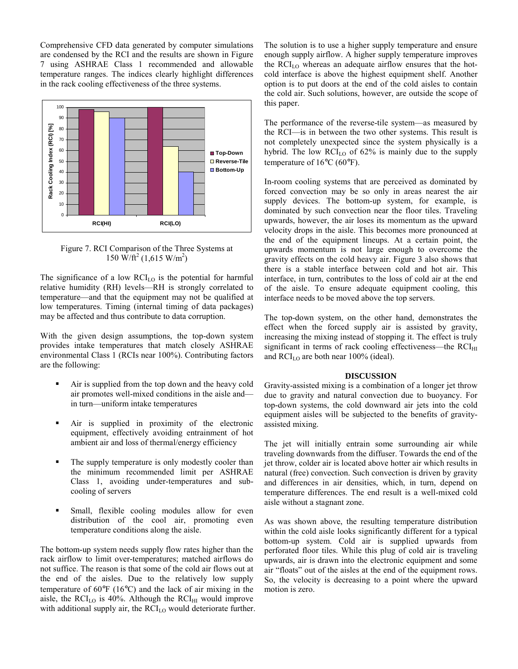Comprehensive CFD data generated by computer simulations are condensed by the RCI and the results are shown in Figure 7 using ASHRAE Class 1 recommended and allowable temperature ranges. The indices clearly highlight differences in the rack cooling effectiveness of the three systems.



Figure 7. RCI Comparison of the Three Systems at  $150 \text{ W/ft}^2 (1,615 \text{ W/m}^2)$ 

The significance of a low  $RCI<sub>LO</sub>$  is the potential for harmful relative humidity (RH) levels—RH is strongly correlated to temperature—and that the equipment may not be qualified at low temperatures. Timing (internal timing of data packages) may be affected and thus contribute to data corruption.

With the given design assumptions, the top-down system provides intake temperatures that match closely ASHRAE environmental Class 1 (RCIs near 100%). Contributing factors are the following:

- Air is supplied from the top down and the heavy cold air promotes well-mixed conditions in the aisle and in turn—uniform intake temperatures
- Air is supplied in proximity of the electronic equipment, effectively avoiding entrainment of hot ambient air and loss of thermal/energy efficiency
- The supply temperature is only modestly cooler than the minimum recommended limit per ASHRAE Class 1, avoiding under-temperatures and subcooling of servers
- Small, flexible cooling modules allow for even distribution of the cool air, promoting even temperature conditions along the aisle.

The bottom-up system needs supply flow rates higher than the rack airflow to limit over-temperatures; matched airflows do not suffice. The reason is that some of the cold air flows out at the end of the aisles. Due to the relatively low supply temperature of 60°F (16°C) and the lack of air mixing in the aisle, the  $RCI_{LO}$  is 40%. Although the  $RCI_{HI}$  would improve with additional supply air, the RCI<sub>LO</sub> would deteriorate further. The solution is to use a higher supply temperature and ensure enough supply airflow. A higher supply temperature improves the  $RCI<sub>LO</sub>$  whereas an adequate airflow ensures that the hotcold interface is above the highest equipment shelf. Another option is to put doors at the end of the cold aisles to contain the cold air. Such solutions, however, are outside the scope of this paper.

The performance of the reverse-tile system—as measured by the RCI—is in between the two other systems. This result is not completely unexpected since the system physically is a hybrid. The low  $RCI<sub>LO</sub>$  of 62% is mainly due to the supply temperature of 16°C (60°F).

In-room cooling systems that are perceived as dominated by forced convection may be so only in areas nearest the air supply devices. The bottom-up system, for example, is dominated by such convection near the floor tiles. Traveling upwards, however, the air loses its momentum as the upward velocity drops in the aisle. This becomes more pronounced at the end of the equipment lineups. At a certain point, the upwards momentum is not large enough to overcome the gravity effects on the cold heavy air. Figure 3 also shows that there is a stable interface between cold and hot air. This interface, in turn, contributes to the loss of cold air at the end of the aisle. To ensure adequate equipment cooling, this interface needs to be moved above the top servers.

The top-down system, on the other hand, demonstrates the effect when the forced supply air is assisted by gravity, increasing the mixing instead of stopping it. The effect is truly significant in terms of rack cooling effectiveness—the  $RCI<sub>HI</sub>$ and  $RCI<sub>LO</sub>$  are both near 100% (ideal).

# **DISCUSSION**

Gravity-assisted mixing is a combination of a longer jet throw due to gravity and natural convection due to buoyancy. For top-down systems, the cold downward air jets into the cold equipment aisles will be subjected to the benefits of gravityassisted mixing.

The jet will initially entrain some surrounding air while traveling downwards from the diffuser. Towards the end of the jet throw, colder air is located above hotter air which results in natural (free) convection. Such convection is driven by gravity and differences in air densities, which, in turn, depend on temperature differences. The end result is a well-mixed cold aisle without a stagnant zone.

As was shown above, the resulting temperature distribution within the cold aisle looks significantly different for a typical bottom-up system. Cold air is supplied upwards from perforated floor tiles. While this plug of cold air is traveling upwards, air is drawn into the electronic equipment and some air "floats" out of the aisles at the end of the equipment rows. So, the velocity is decreasing to a point where the upward motion is zero.